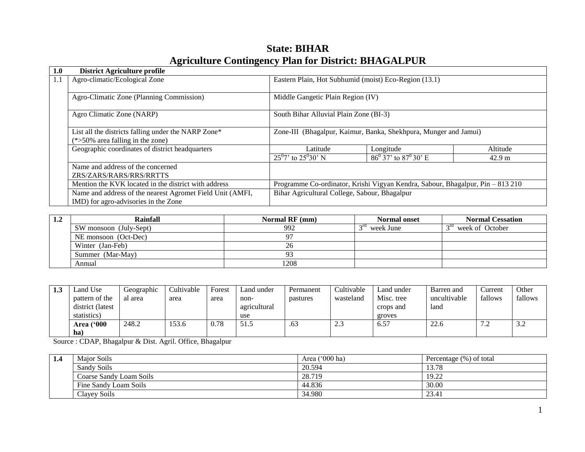| 1.0 | <b>District Agriculture profile</b>                       |                                                                                |                                        |                  |
|-----|-----------------------------------------------------------|--------------------------------------------------------------------------------|----------------------------------------|------------------|
| 1.1 | Agro-climatic/Ecological Zone                             | Eastern Plain, Hot Subhumid (moist) Eco-Region (13.1)                          |                                        |                  |
|     | Agro-Climatic Zone (Planning Commission)                  | Middle Gangetic Plain Region (IV)                                              |                                        |                  |
|     | Agro Climatic Zone (NARP)                                 | South Bihar Alluvial Plain Zone (BI-3)                                         |                                        |                  |
|     | List all the districts falling under the NARP Zone*       | Zone-III (Bhagalpur, Kaimur, Banka, Shekhpura, Munger and Jamui)               |                                        |                  |
|     | $(*>50\%$ area falling in the zone)                       |                                                                                |                                        |                  |
|     | Geographic coordinates of district headquarters           | Latitude                                                                       | Longitude                              | Altitude         |
|     |                                                           | $25^{0}7'$ to $25^{0}30'$ N                                                    | $86^{\circ}$ 37' to $87^{\circ}$ 30' E | $42.9 \text{ m}$ |
|     | Name and address of the concerned                         |                                                                                |                                        |                  |
|     | ZRS/ZARS/RARS/RRS/RRTTS                                   |                                                                                |                                        |                  |
|     | Mention the KVK located in the district with address      | Programme Co-ordinator, Krishi Vigyan Kendra, Sabour, Bhagalpur, Pin - 813 210 |                                        |                  |
|     | Name and address of the nearest Agromet Field Unit (AMFI, | Bihar Agricultural College, Sabour, Bhagalpur                                  |                                        |                  |
|     | IMD) for agro-advisories in the Zone                      |                                                                                |                                        |                  |

# **State: BIHAR Agriculture Contingency Plan for District: BHAGALPUR**

| $1.2\,$ | Rainfall               | Normal RF (mm) | <b>Normal onset</b> | <b>Normal Cessation</b>            |
|---------|------------------------|----------------|---------------------|------------------------------------|
|         | SW monsoon (July-Sept) | 992            | week June           | 3 <sup>rd</sup><br>week of October |
|         | NE monsoon (Oct-Dec)   | 97             |                     |                                    |
|         | Winter (Jan-Feb)       | 26             |                     |                                    |
|         | Summer (Mar-May)       | 93             |                     |                                    |
|         | Annual                 | 1208           |                     |                                    |

| 1.3 | Land Use          | Geographic | Cultivable | Forest | Land under   | Permanent | Cultivable    | Land under | Barren and   | Current | Other   |
|-----|-------------------|------------|------------|--------|--------------|-----------|---------------|------------|--------------|---------|---------|
|     | pattern of the    | al area    | area       | area   | non-         | pastures  | wasteland     | Misc. tree | uncultivable | fallows | fallows |
|     | district (latest  |            |            |        | agricultural |           |               | crops and  | land         |         |         |
|     | statistics)       |            |            |        | use          |           |               | groves     |              |         |         |
|     | <b>Area ('000</b> | 248.2      | 53.6       | 0.78   | 51.5         | .63       | $\cap$<br>د.ء | 6.57       | 22.6         | ے ،     | ے ر     |
|     | ha)               |            |            |        |              |           |               |            |              |         |         |

Source : CDAP, Bhagalpur & Dist. Agril. Office, Bhagalpur

| 1.4 | <b>Maior Soils</b>      | Area $('000 ha)$ | Percentage (%) of total |
|-----|-------------------------|------------------|-------------------------|
|     | Sandy Soils             | 20.594           | 13.78                   |
|     | Coarse Sandy Loam Soils | 28.719           | 19.22                   |
|     | Fine Sandy Loam Soils   | 44.836           | 30.00                   |
|     | Clayey Soils            | 34.980           | 23.41                   |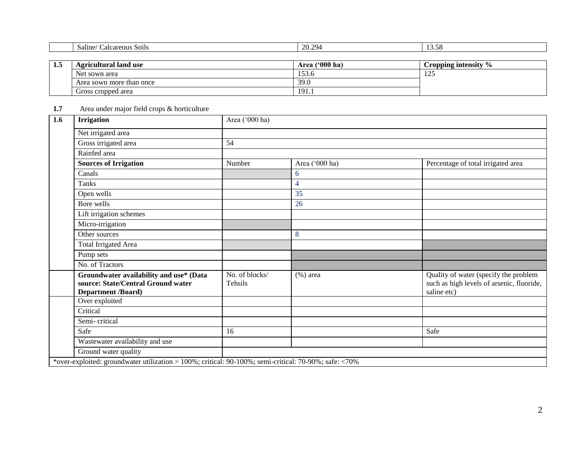| -- | <b>Agricultural land use</b> | ('000 ha)<br>Area | Cropping intensity "<br>$\frac{9}{6}$ |
|----|------------------------------|-------------------|---------------------------------------|
|    | Net sown area                | 153.6             | $\cap$<br>$\overline{1}$              |
|    | Area sown more than once     | 39.0              |                                       |
|    | Gross cropped area           | 191.1             |                                       |

### **1.7** Area under major field crops & horticulture

| 1.6 | <b>Irrigation</b>                                                                                          | Area ('000 ha)            |                |                                                                                                   |  |  |  |  |
|-----|------------------------------------------------------------------------------------------------------------|---------------------------|----------------|---------------------------------------------------------------------------------------------------|--|--|--|--|
|     | Net irrigated area                                                                                         |                           |                |                                                                                                   |  |  |  |  |
|     | Gross irrigated area                                                                                       | 54                        |                |                                                                                                   |  |  |  |  |
|     | Rainfed area                                                                                               |                           |                |                                                                                                   |  |  |  |  |
|     | <b>Sources of Irrigation</b>                                                                               | Number                    | Area ('000 ha) | Percentage of total irrigated area                                                                |  |  |  |  |
|     | Canals                                                                                                     |                           | 6              |                                                                                                   |  |  |  |  |
|     | <b>Tanks</b>                                                                                               |                           | $\overline{4}$ |                                                                                                   |  |  |  |  |
|     | Open wells                                                                                                 |                           | 35             |                                                                                                   |  |  |  |  |
|     | Bore wells                                                                                                 |                           | 26             |                                                                                                   |  |  |  |  |
|     | Lift irrigation schemes                                                                                    |                           |                |                                                                                                   |  |  |  |  |
|     | Micro-irrigation                                                                                           |                           |                |                                                                                                   |  |  |  |  |
|     | Other sources                                                                                              |                           | 8              |                                                                                                   |  |  |  |  |
|     | <b>Total Irrigated Area</b>                                                                                |                           |                |                                                                                                   |  |  |  |  |
|     | Pump sets                                                                                                  |                           |                |                                                                                                   |  |  |  |  |
|     | No. of Tractors                                                                                            |                           |                |                                                                                                   |  |  |  |  |
|     | Groundwater availability and use* (Data<br>source: State/Central Ground water<br><b>Department /Board)</b> | No. of blocks/<br>Tehsils | $(\%)$ area    | Quality of water (specify the problem<br>such as high levels of arsenic, fluoride,<br>saline etc) |  |  |  |  |
|     | Over exploited                                                                                             |                           |                |                                                                                                   |  |  |  |  |
|     | Critical                                                                                                   |                           |                |                                                                                                   |  |  |  |  |
|     | Semi-critical                                                                                              |                           |                |                                                                                                   |  |  |  |  |
|     | Safe                                                                                                       | 16                        |                | Safe                                                                                              |  |  |  |  |
|     | Wastewater availability and use                                                                            |                           |                |                                                                                                   |  |  |  |  |
|     | Ground water quality                                                                                       |                           |                |                                                                                                   |  |  |  |  |
|     | *over-exploited: groundwater utilization > 100%; critical: 90-100%; semi-critical: 70-90%; safe: <70%      |                           |                |                                                                                                   |  |  |  |  |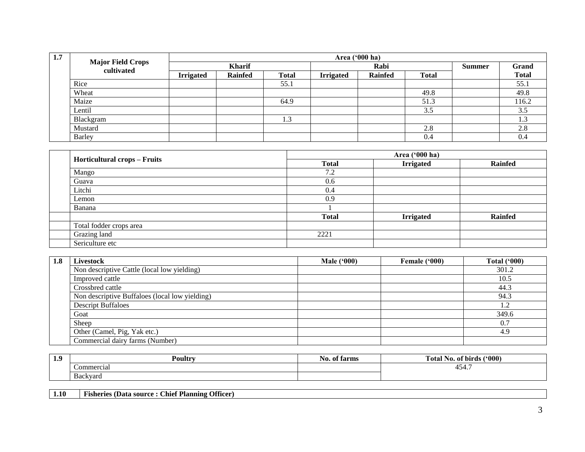| 1.7 |                                         |                  | Area ('000 ha) |              |                  |                |              |               |              |
|-----|-----------------------------------------|------------------|----------------|--------------|------------------|----------------|--------------|---------------|--------------|
|     | <b>Major Field Crops<br/>cultivated</b> |                  | <b>Kharif</b>  |              |                  | Rabi           |              | <b>Summer</b> | Grand        |
|     |                                         | <b>Irrigated</b> | <b>Rainfed</b> | <b>Total</b> | <b>Irrigated</b> | <b>Rainfed</b> | <b>Total</b> |               | <b>Total</b> |
|     | Rice                                    |                  |                | 55.1         |                  |                |              |               | 55.1         |
|     | Wheat                                   |                  |                |              |                  |                | 49.8         |               | 49.8         |
|     | Maize                                   |                  |                | 64.9         |                  |                | 51.3         |               | 116.2        |
|     | Lentil                                  |                  |                |              |                  |                | 3.5          |               | 3.5          |
|     | Blackgram                               |                  |                | 1.3          |                  |                |              |               | 1.3          |
|     | Mustard                                 |                  |                |              |                  |                | 2.8          |               | 2.8          |
|     | Barley                                  |                  |                |              |                  |                | 0.4          |               | 0.4          |

|                                     |              | Area ('000 ha)   |                |  |  |  |
|-------------------------------------|--------------|------------------|----------------|--|--|--|
| <b>Horticultural crops – Fruits</b> | <b>Total</b> | <b>Irrigated</b> | <b>Rainfed</b> |  |  |  |
| Mango                               | 7.2          |                  |                |  |  |  |
| Guava                               | 0.6          |                  |                |  |  |  |
| Litchi                              | 0.4          |                  |                |  |  |  |
| Lemon                               | 0.9          |                  |                |  |  |  |
| Banana                              |              |                  |                |  |  |  |
|                                     | <b>Total</b> | <b>Irrigated</b> | <b>Rainfed</b> |  |  |  |
| Total fodder crops area             |              |                  |                |  |  |  |
| Grazing land                        | 2221         |                  |                |  |  |  |
| Sericulture etc                     |              |                  |                |  |  |  |

| 1.8 | <b>Livestock</b>                               | <b>Male ('000)</b> | <b>Female ('000)</b> | <b>Total ('000)</b> |
|-----|------------------------------------------------|--------------------|----------------------|---------------------|
|     | Non descriptive Cattle (local low yielding)    |                    |                      | 301.2               |
|     | Improved cattle                                |                    |                      | 10.5                |
|     | Crossbred cattle                               |                    |                      | 44.3                |
|     | Non descriptive Buffaloes (local low yielding) |                    |                      | 94.3                |
|     | <b>Descript Buffaloes</b>                      |                    |                      | 1.2                 |
|     | Goat                                           |                    |                      | 349.6               |
|     | Sheep                                          |                    |                      | 0.7                 |
|     | Other (Camel, Pig, Yak etc.)                   |                    |                      | 4.9                 |
|     | Commercial dairy farms (Number)                |                    |                      |                     |

| 1.9 | Poultry                   | tarms<br>-01<br>NO. | (900)<br>$\sim$<br>otal)<br>No. of birds |
|-----|---------------------------|---------------------|------------------------------------------|
|     | Commercial                |                     | 15/<br>494.,                             |
|     | $\sim$<br><b>Backyard</b> |                     |                                          |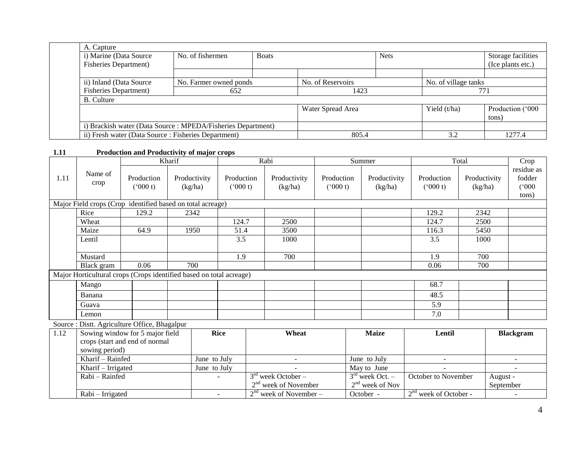| A. Capture                                                  |                  |              |                   |             |                      |                    |
|-------------------------------------------------------------|------------------|--------------|-------------------|-------------|----------------------|--------------------|
| i) Marine (Data Source                                      | No. of fishermen | <b>Boats</b> |                   | <b>Nets</b> |                      | Storage facilities |
| <b>Fisheries Department</b> )                               |                  |              |                   |             |                      | (Ice plants etc.)  |
|                                                             |                  |              |                   |             |                      |                    |
| ii) Inland (Data Source<br>No. Farmer owned ponds           |                  |              | No. of Reservoirs |             | No. of village tanks |                    |
| <b>Fisheries Department</b> )                               | 652              |              | 1423              |             |                      | 771                |
| <b>B.</b> Culture                                           |                  |              |                   |             |                      |                    |
|                                                             |                  |              | Water Spread Area |             | Yield (t/ha)         | Production ('000   |
|                                                             |                  |              |                   |             |                      | tons)              |
| i) Brackish water (Data Source: MPEDA/Fisheries Department) |                  |              |                   |             |                      |                    |
| ii) Fresh water (Data Source: Fisheries Department)         |                  |              | 805.4             |             | 3.2                  | 1277.4             |

### **1.11 Production and Productivity of major crops**

|      |                    |                                                                     | Kharif       |              |            | Rabi                               |            | Summer            |                         | Total        | Crop             |
|------|--------------------|---------------------------------------------------------------------|--------------|--------------|------------|------------------------------------|------------|-------------------|-------------------------|--------------|------------------|
|      | Name of            |                                                                     |              |              |            |                                    |            |                   |                         |              | residue as       |
| 1.11 |                    | Production                                                          | Productivity |              | Production | Productivity                       | Production | Productivity      | Production              | Productivity | fodder           |
|      | crop               | (5000 t)                                                            | (kg/ha)      |              | (000 t)    | (kg/ha)                            | (000 t)    | (kg/ha)           | (000 t)                 | (kg/ha)      | (000)            |
|      |                    |                                                                     |              |              |            |                                    |            |                   |                         |              | tons)            |
|      |                    | Major Field crops (Crop identified based on total acreage)          |              |              |            |                                    |            |                   |                         |              |                  |
|      | Rice               | 129.2                                                               | 2342         |              |            |                                    |            |                   | 129.2                   | 2342         |                  |
|      | Wheat              |                                                                     |              |              | 124.7      | 2500                               |            |                   | 124.7                   | 2500         |                  |
|      | Maize              | 64.9                                                                | 1950         |              | 51.4       | 3500                               |            |                   | 116.3                   | 5450         |                  |
|      | Lentil             |                                                                     |              |              | 3.5        | 1000                               |            |                   | 3.5                     | 1000         |                  |
|      |                    |                                                                     |              |              |            |                                    |            |                   |                         |              |                  |
|      | Mustard            |                                                                     |              |              | 1.9        | 700                                |            |                   | 1.9                     | 700          |                  |
|      | Black gram         | 0.06                                                                | 700          |              |            |                                    |            |                   | 0.06                    | 700          |                  |
|      |                    | Major Horticultural crops (Crops identified based on total acreage) |              |              |            |                                    |            |                   |                         |              |                  |
|      | Mango              |                                                                     |              |              |            |                                    |            |                   | 68.7                    |              |                  |
|      | Banana             |                                                                     |              |              |            |                                    |            |                   | 48.5                    |              |                  |
|      | Guava              |                                                                     |              |              |            |                                    |            |                   | 5.9                     |              |                  |
|      | Lemon              |                                                                     |              |              |            |                                    |            |                   | 7.0                     |              |                  |
|      |                    | Source : Distt. Agriculture Office, Bhagalpur                       |              |              |            |                                    |            |                   |                         |              |                  |
| 1.12 |                    | Sowing window for 5 major field                                     |              | <b>Rice</b>  |            | Wheat                              |            | <b>Maize</b>      | Lentil                  |              | <b>Blackgram</b> |
|      |                    | crops (start and end of normal                                      |              |              |            |                                    |            |                   |                         |              |                  |
|      | sowing period)     |                                                                     |              |              |            |                                    |            |                   |                         |              |                  |
|      | Kharif - Rainfed   |                                                                     |              | June to July |            | $\sim$                             |            | June to July      | $\sim$                  |              |                  |
|      | Kharif - Irrigated |                                                                     |              | June to July |            | ÷                                  |            | May to June       |                         |              | $\sim$           |
|      | Rabi - Rainfed     |                                                                     |              |              |            | $\overline{3}^{rd}$ week October – |            | $3rd$ week Oct. – | October to November     |              | August -         |
|      |                    |                                                                     |              |              |            | $2nd$ week of November             |            | $2nd$ week of Nov |                         |              | September        |
|      | Rabi - Irrigated   |                                                                     |              |              |            | $2nd$ week of November –           |            | October -         | $2nd$ week of October - |              |                  |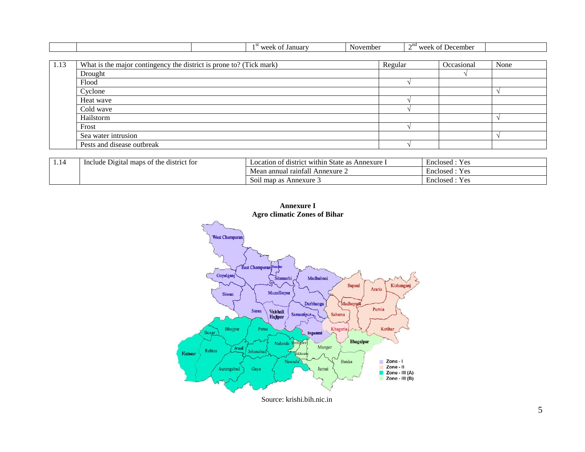|      |                                                                     | 1 <sup>st</sup> week of January | November |         | $2nd$ week of December |      |
|------|---------------------------------------------------------------------|---------------------------------|----------|---------|------------------------|------|
|      |                                                                     |                                 |          |         |                        |      |
| 1.13 | What is the major contingency the district is prone to? (Tick mark) |                                 |          | Regular | Occasional             | None |
|      | Drought                                                             |                                 |          |         |                        |      |
|      | Flood                                                               |                                 |          |         |                        |      |
|      | Cyclone                                                             |                                 |          |         |                        |      |
|      | Heat wave                                                           |                                 |          |         |                        |      |
|      | Cold wave                                                           |                                 |          |         |                        |      |
|      | Hailstorm                                                           |                                 |          |         |                        |      |
|      | Frost                                                               |                                 |          |         |                        |      |
|      | Sea water intrusion                                                 |                                 |          |         |                        |      |
|      | Pests and disease outbreak                                          |                                 |          |         |                        |      |

| . | t the district for<br>Include Digital<br>l maps of | . .<br>Location of district within State as<br><sup>-</sup> Annexure. | $\overline{\phantom{0}}$<br>$\mathbf{v}$<br><b>Yes</b><br>Enclosed |
|---|----------------------------------------------------|-----------------------------------------------------------------------|--------------------------------------------------------------------|
|   |                                                    | . rainfall<br>' Annexure $\angle$<br>ı annual<br><b>NIC</b>           | Yes<br>Enclosed                                                    |
|   |                                                    | l map as Annexure 3<br><b>S</b> O11                                   | Yes<br>Enclosed                                                    |



**Annexure I**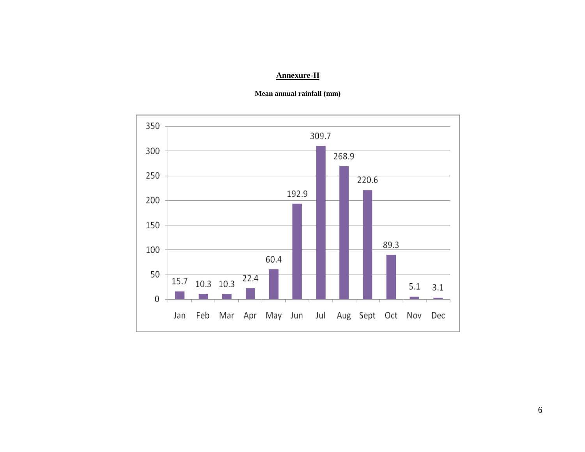# **Annexure-II**



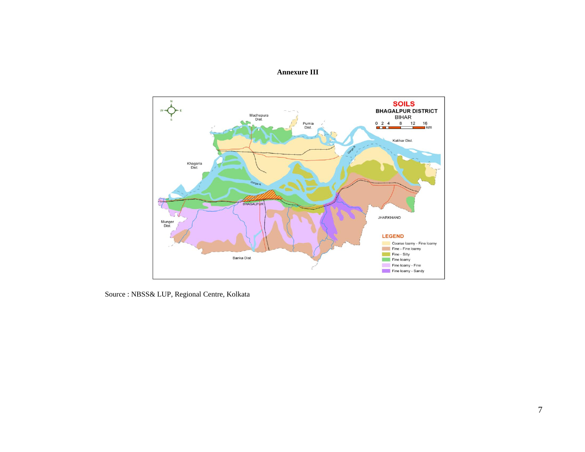### **Annexure III**



Source : NBSS& LUP, Regional Centre, Kolkata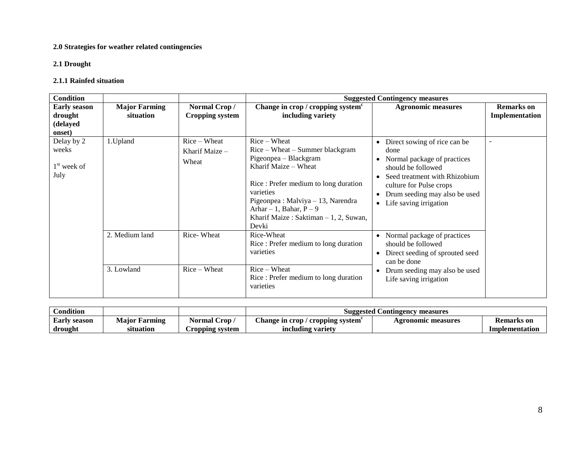### **2.0 Strategies for weather related contingencies**

### **2.1 Drought**

### **2.1.1 Rainfed situation**

| Condition                                            |                                   |                                         |                                                                                                                                                                                                                                                                               | <b>Suggested Contingency measures</b>                                                                                                                                                                                                                                             |                                     |
|------------------------------------------------------|-----------------------------------|-----------------------------------------|-------------------------------------------------------------------------------------------------------------------------------------------------------------------------------------------------------------------------------------------------------------------------------|-----------------------------------------------------------------------------------------------------------------------------------------------------------------------------------------------------------------------------------------------------------------------------------|-------------------------------------|
| <b>Early season</b><br>drought<br>(delayed<br>onset) | <b>Major Farming</b><br>situation | Normal Crop/<br>Cropping system         | Change in crop / cropping system <sup>c</sup><br>including variety                                                                                                                                                                                                            | <b>Agronomic measures</b>                                                                                                                                                                                                                                                         | <b>Remarks</b> on<br>Implementation |
| Delay by 2<br>weeks<br>$1st$ week of<br>July         | 1. Upland                         | $Rice-Wheat$<br>Kharif Maize -<br>Wheat | $Rice-Wheat$<br>Rice – Wheat – Summer blackgram<br>Pigeonpea - Blackgram<br>Kharif Maize – Wheat<br>Rice: Prefer medium to long duration<br>varieties<br>Pigeonpea : Malviya - 13, Narendra<br>Arhar $-1$ , Bahar, P $-9$<br>Kharif Maize: Saktiman $-1$ , 2, Suwan,<br>Devki | Direct sowing of rice can be<br>$\bullet$<br>done<br>Normal package of practices<br>$\bullet$<br>should be followed<br>Seed treatment with Rhizobium<br>$\bullet$<br>culture for Pulse crops<br>Drum seeding may also be used<br>$\bullet$<br>Life saving irrigation<br>$\bullet$ |                                     |
|                                                      | 2. Medium land<br>3. Lowland      | Rice-Wheat<br>$Rice-Wheat$              | Rice-Wheat<br>Rice: Prefer medium to long duration<br>varieties<br>$Rice-Wheat$<br>Rice: Prefer medium to long duration<br>varieties                                                                                                                                          | Normal package of practices<br>$\bullet$<br>should be followed<br>Direct seeding of sprouted seed<br>$\bullet$<br>can be done<br>Drum seeding may also be used<br>$\bullet$<br>Life saving irrigation                                                                             |                                     |

| Condition           |                      |                 |                                         | <b>Suggested Contingency measures</b> |                |
|---------------------|----------------------|-----------------|-----------------------------------------|---------------------------------------|----------------|
| <b>Early season</b> | <b>Maior Farming</b> | Normal Crop .   | <b>Change in crop / cropping system</b> | <b>Agronomic measures</b>             | Kemarks on     |
| drought             | situation            | Cropping system | including variety                       |                                       | Implementation |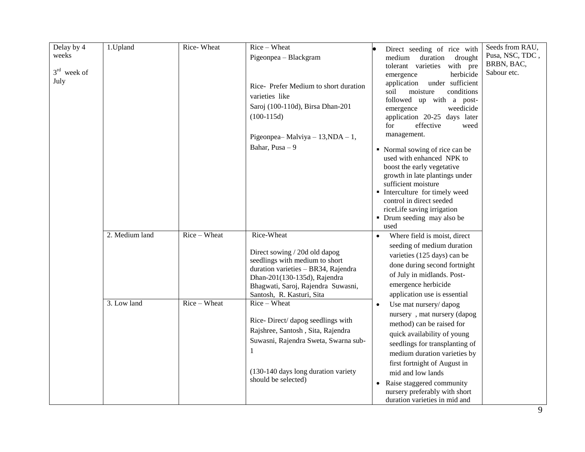| Delay by 4<br>weeks<br>$3rd$ week of<br>July | 1.Upland       | Rice-Wheat   | Rice - Wheat<br>Pigeonpea - Blackgram<br>Rice- Prefer Medium to short duration<br>varieties like<br>Saroj (100-110d), Birsa Dhan-201<br>$(100-115d)$                                                                    | Direct seeding of rice with<br>drought<br>medium<br>duration<br>with pre<br>tolerant varieties<br>herbicide<br>emergence<br>under sufficient<br>application<br>conditions<br>moisture<br>soil<br>followed up with a post-<br>weedicide<br>emergence<br>application 20-25 days later<br>effective<br>for<br>weed<br>management.         | Seeds from RAU,<br>Pusa, NSC, TDC,<br>BRBN, BAC,<br>Sabour etc. |
|----------------------------------------------|----------------|--------------|-------------------------------------------------------------------------------------------------------------------------------------------------------------------------------------------------------------------------|----------------------------------------------------------------------------------------------------------------------------------------------------------------------------------------------------------------------------------------------------------------------------------------------------------------------------------------|-----------------------------------------------------------------|
|                                              |                |              | Pigeonpea-Malviya - $13, NDA - 1$ ,<br>Bahar, Pusa - 9                                                                                                                                                                  | • Normal sowing of rice can be<br>used with enhanced NPK to<br>boost the early vegetative<br>growth in late plantings under<br>sufficient moisture<br>Interculture for timely weed<br>control in direct seeded<br>riceLife saving irrigation<br>• Drum seeding may also be<br>used                                                     |                                                                 |
|                                              | 2. Medium land | Rice - Wheat | Rice-Wheat<br>Direct sowing / 20d old dapog<br>seedlings with medium to short<br>duration varieties - BR34, Rajendra<br>Dhan-201(130-135d), Rajendra<br>Bhagwati, Saroj, Rajendra Suwasni,<br>Santosh, R. Kasturi, Sita | Where field is moist, direct<br>seeding of medium duration<br>varieties (125 days) can be<br>done during second fortnight<br>of July in midlands. Post-<br>emergence herbicide<br>application use is essential                                                                                                                         |                                                                 |
|                                              | 3. Low land    | Rice - Wheat | Rice - Wheat<br>Rice-Direct/ dapog seedlings with<br>Rajshree, Santosh, Sita, Rajendra<br>Suwasni, Rajendra Sweta, Swarna sub-<br>1<br>(130-140 days long duration variety<br>should be selected)                       | Use mat nursery/dapog<br>nursery, mat nursery (dapog<br>method) can be raised for<br>quick availability of young<br>seedlings for transplanting of<br>medium duration varieties by<br>first fortnight of August in<br>mid and low lands<br>Raise staggered community<br>nursery preferably with short<br>duration varieties in mid and |                                                                 |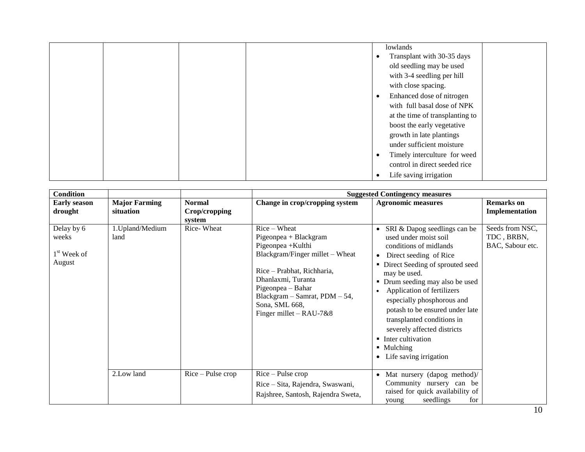|  |  | lowlands                        |
|--|--|---------------------------------|
|  |  | Transplant with 30-35 days      |
|  |  | old seedling may be used        |
|  |  | with 3-4 seedling per hill      |
|  |  | with close spacing.             |
|  |  | Enhanced dose of nitrogen       |
|  |  | with full basal dose of NPK     |
|  |  | at the time of transplanting to |
|  |  | boost the early vegetative      |
|  |  | growth in late plantings        |
|  |  | under sufficient moisture       |
|  |  | Timely interculture for weed    |
|  |  | control in direct seeded rice   |
|  |  | Life saving irrigation          |

| <b>Condition</b>                               |                                   |                                   |                                                                                                                                                                                                                                                           | <b>Suggested Contingency measures</b>                                                                                                                                                                                                                                                                                                                                                                                                                  |                                                   |
|------------------------------------------------|-----------------------------------|-----------------------------------|-----------------------------------------------------------------------------------------------------------------------------------------------------------------------------------------------------------------------------------------------------------|--------------------------------------------------------------------------------------------------------------------------------------------------------------------------------------------------------------------------------------------------------------------------------------------------------------------------------------------------------------------------------------------------------------------------------------------------------|---------------------------------------------------|
| <b>Early season</b><br>drought                 | <b>Major Farming</b><br>situation | Normal<br>Crop/cropping<br>system | Change in crop/cropping system                                                                                                                                                                                                                            | <b>Agronomic measures</b>                                                                                                                                                                                                                                                                                                                                                                                                                              | <b>Remarks</b> on<br>Implementation               |
| Delay by 6<br>weeks<br>$1st$ Week of<br>August | 1. Upland/Medium<br>land          | Rice-Wheat                        | $Rice-Wheat$<br>$Pigeonpea + Blackgram$<br>Pigeonpea + Kulthi<br>Blackgram/Finger millet - Wheat<br>Rice - Prabhat, Richharia,<br>Dhanlaxmi, Turanta<br>Pigeonpea – Bahar<br>Blackgram - Samrat, PDM - 54,<br>Sona, SML 668,<br>Finger millet $-$ RAU-7&8 | SRI & Dapog seedlings can be<br>$\bullet$<br>used under moist soil<br>conditions of midlands<br>Direct seeding of Rice<br>$\bullet$<br>• Direct Seeding of sprouted seed<br>may be used.<br>• Drum seeding may also be used<br>Application of fertilizers<br>especially phosphorous and<br>potash to be ensured under late<br>transplanted conditions in<br>severely affected districts<br>• Inter cultivation<br>• Mulching<br>Life saving irrigation | Seeds from NSC,<br>TDC, BRBN,<br>BAC, Sabour etc. |
|                                                | 2.Low land                        | $Rice$ – Pulse crop               | $Rice$ – Pulse crop<br>Rice – Sita, Rajendra, Swaswani,<br>Rajshree, Santosh, Rajendra Sweta,                                                                                                                                                             | Mat nursery (dapog method)/<br>Community nursery can be<br>raised for quick availability of<br>seedlings<br>for<br>young                                                                                                                                                                                                                                                                                                                               |                                                   |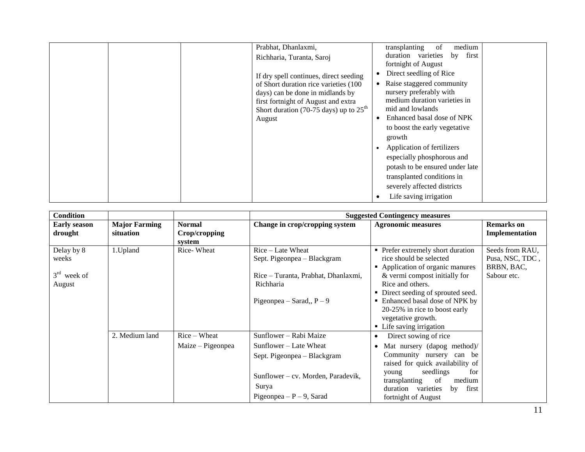|  | Prabhat, Dhanlaxmi,                                                             | medium<br>transplanting<br>-of                              |
|--|---------------------------------------------------------------------------------|-------------------------------------------------------------|
|  | Richharia, Turanta, Saroj                                                       | duration varieties<br>first<br>by                           |
|  |                                                                                 | fortnight of August<br>Direct seedling of Rice              |
|  | If dry spell continues, direct seeding<br>of Short duration rice varieties (100 | Raise staggered community                                   |
|  | days) can be done in midlands by                                                | nursery preferably with                                     |
|  | first fortnight of August and extra                                             | medium duration varieties in                                |
|  | Short duration (70-75 days) up to $25th$                                        | mid and lowlands<br>Enhanced basal dose of NPK<br>$\bullet$ |
|  | August                                                                          | to boost the early vegetative                               |
|  |                                                                                 | growth                                                      |
|  |                                                                                 | Application of fertilizers                                  |
|  |                                                                                 | especially phosphorous and                                  |
|  |                                                                                 | potash to be ensured under late                             |
|  |                                                                                 | transplanted conditions in                                  |
|  |                                                                                 | severely affected districts                                 |
|  |                                                                                 | Life saving irrigation                                      |

| <b>Condition</b>                               |                                   |                                          |                                                                                                                                                               | <b>Suggested Contingency measures</b>                                                                                                                                                                                                                                                                             |                                                                 |
|------------------------------------------------|-----------------------------------|------------------------------------------|---------------------------------------------------------------------------------------------------------------------------------------------------------------|-------------------------------------------------------------------------------------------------------------------------------------------------------------------------------------------------------------------------------------------------------------------------------------------------------------------|-----------------------------------------------------------------|
| <b>Early season</b><br>drought                 | <b>Major Farming</b><br>situation | <b>Normal</b><br>Crop/cropping<br>system | Change in crop/cropping system                                                                                                                                | <b>Agronomic measures</b>                                                                                                                                                                                                                                                                                         | <b>Remarks</b> on<br>Implementation                             |
| Delay by 8<br>weeks<br>$3rd$ week of<br>August | 1. Upland                         | Rice-Wheat                               | Rice – Late Wheat<br>Sept. Pigeonpea – Blackgram<br>Rice – Turanta, Prabhat, Dhanlaxmi,<br>Richharia<br>Pigeonpea – Sarad,, $P - 9$                           | • Prefer extremely short duration<br>rice should be selected<br>• Application of organic manures<br>& vermi compost initially for<br>Rice and others.<br>• Direct seeding of sprouted seed.<br>• Enhanced basal dose of NPK by<br>20-25% in rice to boost early<br>vegetative growth.<br>• Life saving irrigation | Seeds from RAU,<br>Pusa, NSC, TDC,<br>BRBN, BAC,<br>Sabour etc. |
|                                                | 2. Medium land                    | $Rice-Wheat$<br>Maize – Pigeonpea        | Sunflower – Rabi Maize<br>Sunflower – Late Wheat<br>Sept. Pigeonpea – Blackgram<br>Sunflower – cv. Morden, Paradevik,<br>Surya<br>Pigeonpea – $P - 9$ , Sarad | Direct sowing of rice<br>$\bullet$<br>Mat nursery (dapog method)/<br>$\bullet$<br>Community nursery can be<br>raised for quick availability of<br>seedlings<br>for<br>young<br>transplanting<br>of<br>medium<br>duration varieties<br>first<br>by<br>fortnight of August                                          |                                                                 |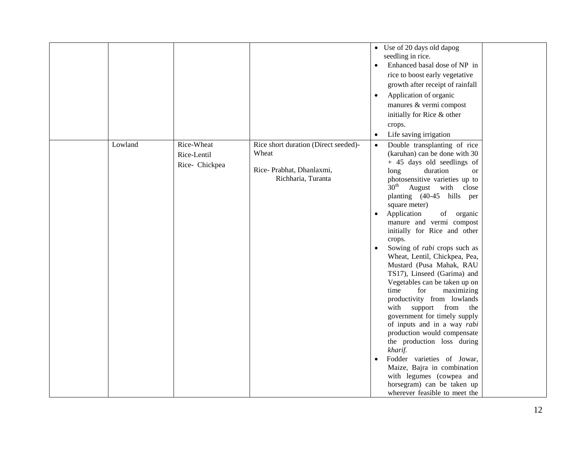|         |                |                                      | • Use of 20 days old dapog                                         |
|---------|----------------|--------------------------------------|--------------------------------------------------------------------|
|         |                |                                      | seedling in rice.                                                  |
|         |                |                                      | Enhanced basal dose of NP in<br>$\bullet$                          |
|         |                |                                      | rice to boost early vegetative                                     |
|         |                |                                      | growth after receipt of rainfall                                   |
|         |                |                                      | Application of organic<br>$\bullet$                                |
|         |                |                                      | manures & vermi compost                                            |
|         |                |                                      | initially for Rice & other                                         |
|         |                |                                      | crops.                                                             |
|         |                |                                      | Life saving irrigation<br>$\bullet$                                |
| Lowland | Rice-Wheat     | Rice short duration (Direct seeded)- | Double transplanting of rice<br>$\bullet$                          |
|         | Rice-Lentil    | Wheat                                | (karuhan) can be done with 30                                      |
|         | Rice- Chickpea |                                      | + 45 days old seedlings of                                         |
|         |                | Rice-Prabhat, Dhanlaxmi,             | duration<br>long<br><b>or</b>                                      |
|         |                | Richharia, Turanta                   | photosensitive varieties up to                                     |
|         |                |                                      | $30^{\text{th}}$<br>August with close                              |
|         |                |                                      | planting (40-45 hills per                                          |
|         |                |                                      | square meter)                                                      |
|         |                |                                      | Application<br>of organic<br>$\bullet$<br>manure and vermi compost |
|         |                |                                      | initially for Rice and other                                       |
|         |                |                                      | crops.                                                             |
|         |                |                                      | Sowing of <i>rabi</i> crops such as<br>$\bullet$                   |
|         |                |                                      | Wheat, Lentil, Chickpea, Pea,                                      |
|         |                |                                      | Mustard (Pusa Mahak, RAU                                           |
|         |                |                                      | TS17), Linseed (Garima) and                                        |
|         |                |                                      | Vegetables can be taken up on                                      |
|         |                |                                      | time<br>for<br>maximizing                                          |
|         |                |                                      | productivity from lowlands                                         |
|         |                |                                      | with<br>support from the                                           |
|         |                |                                      | government for timely supply<br>of inputs and in a way rabi        |
|         |                |                                      | production would compensate                                        |
|         |                |                                      | the production loss during                                         |
|         |                |                                      | kharif.                                                            |
|         |                |                                      | Fodder varieties of Jowar,<br>$\bullet$                            |
|         |                |                                      | Maize, Bajra in combination                                        |
|         |                |                                      | with legumes (cowpea and                                           |
|         |                |                                      | horsegram) can be taken up                                         |
|         |                |                                      | wherever feasible to meet the                                      |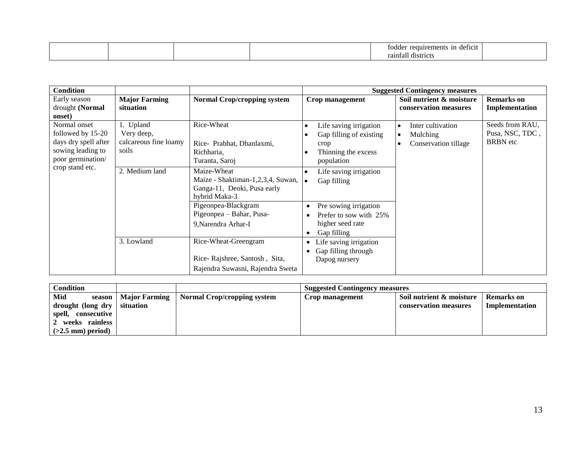|  |  | ---<br>1n<br>requirement<br>deficit<br>,,,,, |  |
|--|--|----------------------------------------------|--|
|  |  | raintall<br>districts                        |  |

| <b>Condition</b>                                                                                    |                                                           |                                                                                                  |                                                                                                | <b>Suggested Contingency measures</b>                      |                                                       |
|-----------------------------------------------------------------------------------------------------|-----------------------------------------------------------|--------------------------------------------------------------------------------------------------|------------------------------------------------------------------------------------------------|------------------------------------------------------------|-------------------------------------------------------|
| Early season<br>drought (Normal<br>onset)                                                           | <b>Major Farming</b><br>situation                         | <b>Normal Crop/cropping system</b>                                                               | Crop management                                                                                | Soil nutrient & moisture<br>conservation measures          | <b>Remarks</b> on<br>Implementation                   |
| Normal onset<br>followed by 15-20<br>days dry spell after<br>sowing leading to<br>poor germination/ | 1. Upland<br>Very deep,<br>calcareous fine loamy<br>soils | Rice-Wheat<br>Rice- Prabhat, Dhanlaxmi,<br>Richharia,<br>Turanta, Saroj                          | Life saving irrigation<br>Gap filling of existing<br>crop<br>Thinning the excess<br>population | Inter cultivation<br>Mulching<br>O<br>Conservation tillage | Seeds from RAU,<br>Pusa, NSC, TDC,<br><b>BRBN</b> etc |
| crop stand etc.                                                                                     | 2. Medium land                                            | Maize-Wheat<br>Maize - Shaktiman-1,2,3,4, Suwan,<br>Ganga-11, Deoki, Pusa early<br>hybrid Maka-3 | Life saving irrigation<br>$\bullet$<br>Gap filling                                             |                                                            |                                                       |
|                                                                                                     |                                                           | Pigeonpea-Blackgram<br>Pigeonpea – Bahar, Pusa-<br>9, Narendra Arhar-I                           | Pre sowing irrigation<br>Prefer to sow with 25%<br>higher seed rate<br>Gap filling             |                                                            |                                                       |
|                                                                                                     | 3. Lowland                                                | Rice-Wheat-Greengram<br>Rice-Rajshree, Santosh, Sita,<br>Rajendra Suwasni, Rajendra Sweta        | Life saving irrigation<br>٠<br>Gap filling through<br>Dapog nursery                            |                                                            |                                                       |

| <b>Condition</b>        |                      |                             | <b>Suggested Contingency measures</b> |                          |                   |
|-------------------------|----------------------|-----------------------------|---------------------------------------|--------------------------|-------------------|
| Mid<br>season           | <b>Major Farming</b> | Normal Crop/cropping system | Crop management                       | Soil nutrient & moisture | <b>Remarks</b> on |
| drought (long dry       | situation            |                             |                                       | conservation measures    | Implementation    |
| spell,<br>. consecutive |                      |                             |                                       |                          |                   |
| 2 weeks rainless        |                      |                             |                                       |                          |                   |
| $(>2.5$ mm) period)     |                      |                             |                                       |                          |                   |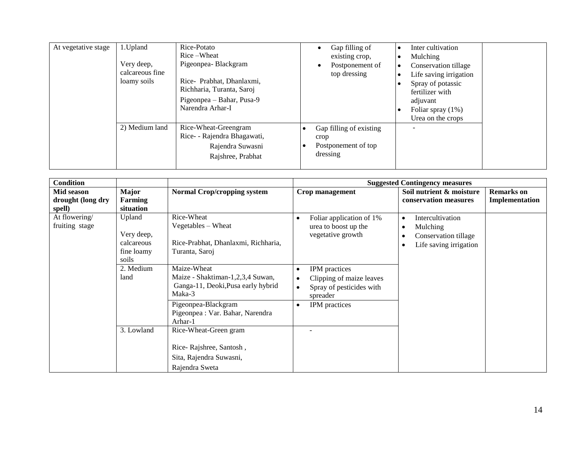| At vegetative stage | 1. Upland<br>Very deep,<br>calcareous fine<br>loamy soils | Rice-Potato<br>Rice-Wheat<br>Pigeonpea-Blackgram<br>Rice- Prabhat, Dhanlaxmi,<br>Richharia, Turanta, Saroj<br>Pigeonpea – Bahar, Pusa-9<br>Narendra Arhar-I | Gap filling of<br>$\bullet$<br>existing crop,<br>Postponement of<br>$\bullet$<br>top dressing | Inter cultivation<br>Mulching<br>Conservation tillage<br>Life saving irrigation<br>Spray of potassic<br>fertilizer with<br>adjuvant<br>Foliar spray $(1%)$<br>Urea on the crops |  |
|---------------------|-----------------------------------------------------------|-------------------------------------------------------------------------------------------------------------------------------------------------------------|-----------------------------------------------------------------------------------------------|---------------------------------------------------------------------------------------------------------------------------------------------------------------------------------|--|
|                     | 2) Medium land                                            | Rice-Wheat-Greengram<br>Rice- - Rajendra Bhagawati,<br>Rajendra Suwasni<br>Rajshree, Prabhat                                                                | Gap filling of existing<br>crop<br>Postponement of top<br>dressing                            |                                                                                                                                                                                 |  |

| <b>Condition</b>                          |                                                           |                                                                                                                                                                       |                                                                                                                                   | <b>Suggested Contingency measures</b>                                                       |                                     |
|-------------------------------------------|-----------------------------------------------------------|-----------------------------------------------------------------------------------------------------------------------------------------------------------------------|-----------------------------------------------------------------------------------------------------------------------------------|---------------------------------------------------------------------------------------------|-------------------------------------|
| Mid season<br>drought (long dry<br>spell) | <b>Major</b><br>Farming<br>situation                      | <b>Normal Crop/cropping system</b>                                                                                                                                    | Crop management                                                                                                                   | Soil nutrient & moisture<br>conservation measures                                           | <b>Remarks</b> on<br>Implementation |
| At flowering/<br>fruiting stage           | Upland<br>Very deep,<br>calcareous<br>fine loamy<br>soils | Rice-Wheat<br>Vegetables – Wheat<br>Rice-Prabhat, Dhanlaxmi, Richharia,<br>Turanta, Saroj                                                                             | Foliar application of 1%<br>$\bullet$<br>urea to boost up the<br>vegetative growth                                                | Intercultivation<br>$\bullet$<br>Mulching<br>Conservation tillage<br>Life saving irrigation |                                     |
|                                           | 2. Medium<br>land                                         | Maize-Wheat<br>Maize - Shaktiman-1,2,3,4 Suwan,<br>Ganga-11, Deoki, Pusa early hybrid<br>Maka-3<br>Pigeonpea-Blackgram<br>Pigeonpea : Var. Bahar, Narendra<br>Arhar-1 | IPM practices<br>٠<br>Clipping of maize leaves<br>Spray of pesticides with<br>$\bullet$<br>spreader<br>IPM practices<br>$\bullet$ |                                                                                             |                                     |
|                                           | 3. Lowland                                                | Rice-Wheat-Green gram<br>Rice-Rajshree, Santosh,<br>Sita, Rajendra Suwasni,<br>Rajendra Sweta                                                                         |                                                                                                                                   |                                                                                             |                                     |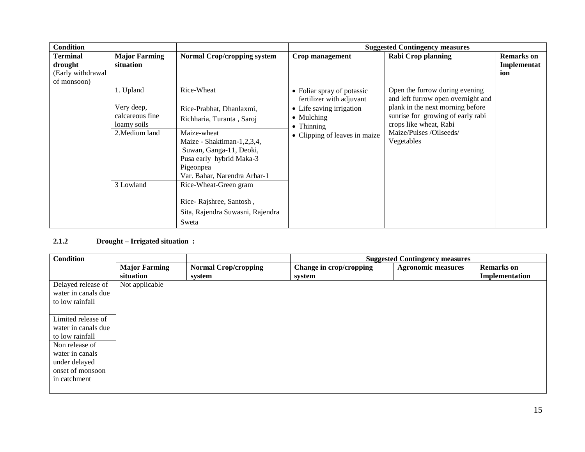| <b>Condition</b>  |                      |                                    |                                                        | <b>Suggested Contingency measures</b>                                |                   |
|-------------------|----------------------|------------------------------------|--------------------------------------------------------|----------------------------------------------------------------------|-------------------|
| Terminal          | <b>Major Farming</b> | <b>Normal Crop/cropping system</b> | Crop management                                        | <b>Rabi Crop planning</b>                                            | <b>Remarks</b> on |
| drought           | situation            |                                    |                                                        |                                                                      | Implementat       |
| (Early withdrawal |                      |                                    |                                                        |                                                                      | ion               |
| of monsoon)       |                      |                                    |                                                        |                                                                      |                   |
|                   | 1. Upland            | Rice-Wheat                         | • Foliar spray of potassic<br>fertilizer with adjuvant | Open the furrow during evening<br>and left furrow open overnight and |                   |
|                   | Very deep,           | Rice-Prabhat, Dhanlaxmi,           | • Life saving irrigation                               | plank in the next morning before                                     |                   |
|                   | calcareous fine      | Richharia, Turanta, Saroj          | • Mulching                                             | sunrise for growing of early rabi                                    |                   |
|                   | loamy soils          |                                    | $\bullet$ Thinning                                     | crops like wheat, Rabi                                               |                   |
|                   | 2. Medium land       | Maize-wheat                        | • Clipping of leaves in maize                          | Maize/Pulses /Oilseeds/                                              |                   |
|                   |                      | Maize - Shaktiman-1,2,3,4,         |                                                        | Vegetables                                                           |                   |
|                   |                      | Suwan, Ganga-11, Deoki,            |                                                        |                                                                      |                   |
|                   |                      | Pusa early hybrid Maka-3           |                                                        |                                                                      |                   |
|                   |                      | Pigeonpea                          |                                                        |                                                                      |                   |
|                   |                      | Var. Bahar, Narendra Arhar-1       |                                                        |                                                                      |                   |
|                   | 3 Lowland            | Rice-Wheat-Green gram              |                                                        |                                                                      |                   |
|                   |                      |                                    |                                                        |                                                                      |                   |
|                   |                      | Rice-Rajshree, Santosh,            |                                                        |                                                                      |                   |
|                   |                      | Sita, Rajendra Suwasni, Rajendra   |                                                        |                                                                      |                   |
|                   |                      | Sweta                              |                                                        |                                                                      |                   |

# **2.1.2 Drought – Irrigated situation :**

| <b>Condition</b>                                                                                                                                       |                                   |                                       |                                   | <b>Suggested Contingency measures</b> |                                     |
|--------------------------------------------------------------------------------------------------------------------------------------------------------|-----------------------------------|---------------------------------------|-----------------------------------|---------------------------------------|-------------------------------------|
|                                                                                                                                                        | <b>Major Farming</b><br>situation | <b>Normal Crop/cropping</b><br>system | Change in crop/cropping<br>system | <b>Agronomic measures</b>             | <b>Remarks</b> on<br>Implementation |
| Delayed release of<br>water in canals due<br>to low rainfall                                                                                           | Not applicable                    |                                       |                                   |                                       |                                     |
| Limited release of<br>water in canals due<br>to low rainfall<br>Non release of<br>water in canals<br>under delayed<br>onset of monsoon<br>in catchment |                                   |                                       |                                   |                                       |                                     |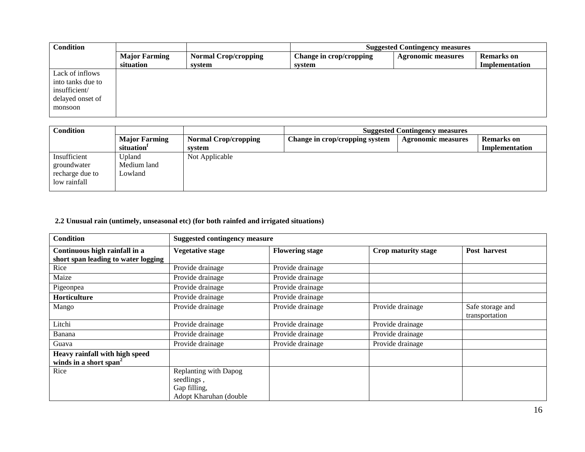| <b>Condition</b>                                                                     |                                   |                                       | <b>Suggested Contingency measures</b> |                           |                              |  |
|--------------------------------------------------------------------------------------|-----------------------------------|---------------------------------------|---------------------------------------|---------------------------|------------------------------|--|
|                                                                                      | <b>Major Farming</b><br>situation | <b>Normal Crop/cropping</b><br>system | Change in crop/cropping<br>system     | <b>Agronomic measures</b> | Remarks on<br>Implementation |  |
| Lack of inflows<br>into tanks due to<br>insufficient/<br>delayed onset of<br>monsoon |                                   |                                       |                                       |                           |                              |  |

| <b>Condition</b>                                               |                                  |                             | <b>Suggested Contingency measures</b> |                           |                   |  |
|----------------------------------------------------------------|----------------------------------|-----------------------------|---------------------------------------|---------------------------|-------------------|--|
|                                                                | <b>Major Farming</b>             | <b>Normal Crop/cropping</b> | Change in crop/cropping system        | <b>Agronomic measures</b> | <b>Remarks</b> on |  |
|                                                                | situation <sup>1</sup>           | system                      |                                       |                           | Implementation    |  |
| Insufficient<br>groundwater<br>recharge due to<br>low rainfall | Upland<br>Medium land<br>Lowland | Not Applicable              |                                       |                           |                   |  |

# **2.2 Unusual rain (untimely, unseasonal etc) (for both rainfed and irrigated situations)**

| <b>Condition</b>                                                     | <b>Suggested contingency measure</b>                                          |                        |                     |                                    |  |  |
|----------------------------------------------------------------------|-------------------------------------------------------------------------------|------------------------|---------------------|------------------------------------|--|--|
| Continuous high rainfall in a<br>short span leading to water logging | <b>Vegetative stage</b>                                                       | <b>Flowering stage</b> | Crop maturity stage | Post harvest                       |  |  |
| Rice                                                                 | Provide drainage                                                              | Provide drainage       |                     |                                    |  |  |
| Maize                                                                | Provide drainage                                                              | Provide drainage       |                     |                                    |  |  |
| Pigeonpea                                                            | Provide drainage                                                              | Provide drainage       |                     |                                    |  |  |
| Horticulture                                                         | Provide drainage                                                              | Provide drainage       |                     |                                    |  |  |
| Mango                                                                | Provide drainage                                                              | Provide drainage       | Provide drainage    | Safe storage and<br>transportation |  |  |
| Litchi                                                               | Provide drainage                                                              | Provide drainage       | Provide drainage    |                                    |  |  |
| Banana                                                               | Provide drainage                                                              | Provide drainage       | Provide drainage    |                                    |  |  |
| Guava                                                                | Provide drainage                                                              | Provide drainage       | Provide drainage    |                                    |  |  |
| Heavy rainfall with high speed<br>winds in a short span <sup>2</sup> |                                                                               |                        |                     |                                    |  |  |
| Rice                                                                 | Replanting with Dapog<br>seedlings,<br>Gap filling,<br>Adopt Kharuhan (double |                        |                     |                                    |  |  |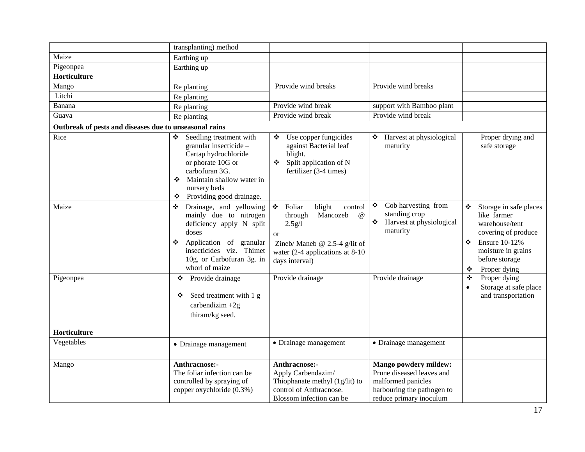|                                                        | transplanting) method                                                                                                                                                                                    |                                                                                                                                                                                                            |                                                                                                                                   |                                                                                                                                                                               |
|--------------------------------------------------------|----------------------------------------------------------------------------------------------------------------------------------------------------------------------------------------------------------|------------------------------------------------------------------------------------------------------------------------------------------------------------------------------------------------------------|-----------------------------------------------------------------------------------------------------------------------------------|-------------------------------------------------------------------------------------------------------------------------------------------------------------------------------|
| Maize                                                  | Earthing up                                                                                                                                                                                              |                                                                                                                                                                                                            |                                                                                                                                   |                                                                                                                                                                               |
| Pigeonpea                                              | Earthing up                                                                                                                                                                                              |                                                                                                                                                                                                            |                                                                                                                                   |                                                                                                                                                                               |
| Horticulture                                           |                                                                                                                                                                                                          |                                                                                                                                                                                                            |                                                                                                                                   |                                                                                                                                                                               |
| Mango                                                  | Re planting                                                                                                                                                                                              | Provide wind breaks                                                                                                                                                                                        | Provide wind breaks                                                                                                               |                                                                                                                                                                               |
| Litchi                                                 | Re planting                                                                                                                                                                                              |                                                                                                                                                                                                            |                                                                                                                                   |                                                                                                                                                                               |
| Banana                                                 | Re planting                                                                                                                                                                                              | Provide wind break                                                                                                                                                                                         | support with Bamboo plant                                                                                                         |                                                                                                                                                                               |
| Guava                                                  | Re planting                                                                                                                                                                                              | Provide wind break                                                                                                                                                                                         | Provide wind break                                                                                                                |                                                                                                                                                                               |
| Outbreak of pests and diseases due to unseasonal rains |                                                                                                                                                                                                          |                                                                                                                                                                                                            |                                                                                                                                   |                                                                                                                                                                               |
| Rice                                                   | Seedling treatment with<br>❖<br>granular insecticide -<br>Cartap hydrochloride<br>or phorate 10G or<br>carbofuran 3G.<br>Maintain shallow water in<br>❖<br>nursery beds<br>Providing good drainage.<br>❖ | Use copper fungicides<br>❖<br>against Bacterial leaf<br>blight.<br>Split application of N<br>❖<br>fertilizer (3-4 times)                                                                                   | Harvest at physiological<br>❖<br>maturity                                                                                         | Proper drying and<br>safe storage                                                                                                                                             |
| Maize                                                  | Drainage, and yellowing<br>❖<br>mainly due to nitrogen<br>deficiency apply N split<br>doses<br>Application of granular<br>❖<br>insecticides viz. Thimet<br>10g, or Carbofuran 3g. in<br>whorl of maize   | $\mathcal{L}(\mathbf{r})$<br>Foliar<br>blight<br>control<br>through<br>Mancozeb<br>$\omega$<br>2.5g/l<br><b>or</b><br>Zineb/ Maneb @ 2.5-4 g/lit of<br>water $(2-4$ applications at 8-10<br>days interval) | Cob harvesting from<br>❖<br>standing crop<br>❖<br>Harvest at physiological<br>maturity                                            | Storage in safe places<br>❖<br>like farmer<br>warehouse/tent<br>covering of produce<br><b>Ensure 10-12%</b><br>❖<br>moisture in grains<br>before storage<br>Proper dying<br>❖ |
| Pigeonpea                                              | Provide drainage<br>❖<br>Seed treatment with 1 g<br>❖<br>carbendizim $+2g$<br>thiram/kg seed.                                                                                                            | Provide drainage                                                                                                                                                                                           | Provide drainage                                                                                                                  | Proper dying<br>❖<br>Storage at safe place<br>and transportation                                                                                                              |
| Horticulture                                           |                                                                                                                                                                                                          |                                                                                                                                                                                                            |                                                                                                                                   |                                                                                                                                                                               |
| Vegetables                                             | • Drainage management                                                                                                                                                                                    | • Drainage management                                                                                                                                                                                      | • Drainage management                                                                                                             |                                                                                                                                                                               |
| Mango                                                  | Anthracnose:-<br>The foliar infection can be<br>controlled by spraying of<br>copper oxychloride (0.3%)                                                                                                   | Anthracnose:-<br>Apply Carbendazim/<br>Thiophanate methyl $(1g/lit)$ to<br>control of Anthracnose.<br>Blossom infection can be.                                                                            | Mango powdery mildew:<br>Prune diseased leaves and<br>malformed panicles<br>harbouring the pathogen to<br>reduce primary inoculum |                                                                                                                                                                               |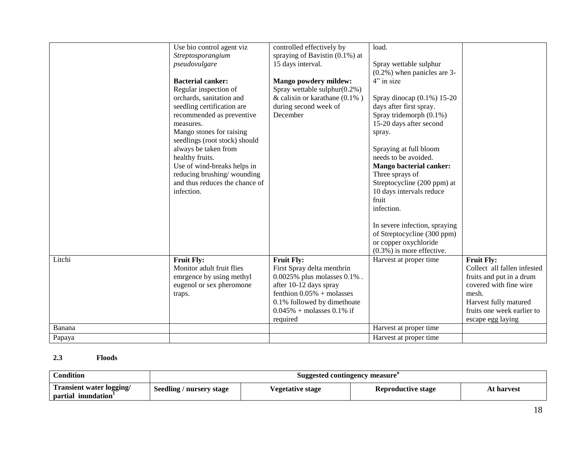|        | Use bio control agent viz<br>Streptosporangium<br>pseudovulgare<br><b>Bacterial canker:</b><br>Regular inspection of<br>orchards, sanitation and<br>seedling certification are<br>recommended as preventive<br>measures.<br>Mango stones for raising<br>seedlings (root stock) should<br>always be taken from<br>healthy fruits.<br>Use of wind-breaks helps in<br>reducing brushing/wounding<br>and thus reduces the chance of<br>infection. | controlled effectively by<br>spraying of Bavistin $(0.1\%)$ at<br>15 days interval.<br><b>Mango powdery mildew:</b><br>Spray wettable sulphur(0.2%)<br>& calixin or karathane $(0.1\%)$<br>during second week of<br>December | load.<br>Spray wettable sulphur<br>$(0.2\%)$ when panicles are 3-<br>4" in size<br>Spray dinocap $(0.1\%) 15-20$<br>days after first spray.<br>Spray tridemorph (0.1%)<br>15-20 days after second<br>spray.<br>Spraying at full bloom<br>needs to be avoided.<br><b>Mango bacterial canker:</b><br>Three sprays of<br>Streptocycline (200 ppm) at<br>10 days intervals reduce<br>fruit<br>infection.<br>In severe infection, spraying<br>of Streptocycline (300 ppm) |                                                                                                                                                                                             |
|--------|-----------------------------------------------------------------------------------------------------------------------------------------------------------------------------------------------------------------------------------------------------------------------------------------------------------------------------------------------------------------------------------------------------------------------------------------------|------------------------------------------------------------------------------------------------------------------------------------------------------------------------------------------------------------------------------|----------------------------------------------------------------------------------------------------------------------------------------------------------------------------------------------------------------------------------------------------------------------------------------------------------------------------------------------------------------------------------------------------------------------------------------------------------------------|---------------------------------------------------------------------------------------------------------------------------------------------------------------------------------------------|
|        |                                                                                                                                                                                                                                                                                                                                                                                                                                               |                                                                                                                                                                                                                              | or copper oxychloride<br>$(0.3\%)$ is more effective.                                                                                                                                                                                                                                                                                                                                                                                                                |                                                                                                                                                                                             |
| Litchi | <b>Fruit Fly:</b><br>Monitor adult fruit flies<br>emrgence by using methyl<br>eugenol or sex pheromone<br>traps.                                                                                                                                                                                                                                                                                                                              | <b>Fruit Fly:</b><br>First Spray delta menthrin<br>0.0025% plus molasses 0.1%.<br>after 10-12 days spray<br>fenthion $0.05%$ + molasses<br>0.1% followed by dimethoate<br>$0.045\%$ + molasses 0.1% if<br>required           | Harvest at proper time                                                                                                                                                                                                                                                                                                                                                                                                                                               | <b>Fruit Fly:</b><br>Collect all fallen infested<br>fruits and put in a drum<br>covered with fine wire<br>mesh.<br>Harvest fully matured<br>fruits one week earlier to<br>escape egg laying |
| Banana |                                                                                                                                                                                                                                                                                                                                                                                                                                               |                                                                                                                                                                                                                              | Harvest at proper time                                                                                                                                                                                                                                                                                                                                                                                                                                               |                                                                                                                                                                                             |
| Papaya |                                                                                                                                                                                                                                                                                                                                                                                                                                               |                                                                                                                                                                                                                              | Harvest at proper time                                                                                                                                                                                                                                                                                                                                                                                                                                               |                                                                                                                                                                                             |

# **2.3 Floods**

| <b>Condition</b>                                      | Suggested contingency measure |                          |                    |            |  |
|-------------------------------------------------------|-------------------------------|--------------------------|--------------------|------------|--|
| <b>Transient water logging/</b><br>partial inundation | Seedling / nursery stage      | <i>V</i> egetative stage | Reproductive stage | At harvest |  |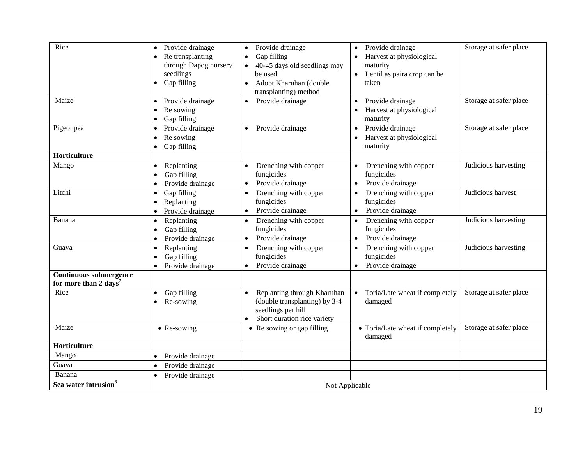| Rice                                                               | Provide drainage<br>Re transplanting<br>through Dapog nursery<br>seedlings<br>Gap filling<br>$\bullet$ | Provide drainage<br>$\bullet$<br>Gap filling<br>40-45 days old seedlings may<br>be used<br>Adopt Kharuhan (double<br>$\bullet$<br>transplanting) method | Provide drainage<br>$\bullet$<br>Harvest at physiological<br>maturity<br>Lentil as paira crop can be<br>taken | Storage at safer place |  |
|--------------------------------------------------------------------|--------------------------------------------------------------------------------------------------------|---------------------------------------------------------------------------------------------------------------------------------------------------------|---------------------------------------------------------------------------------------------------------------|------------------------|--|
| Maize                                                              | Provide drainage<br>$\bullet$<br>Re sowing<br>Gap filling                                              | Provide drainage<br>$\bullet$                                                                                                                           | Provide drainage<br>Harvest at physiological<br>maturity                                                      | Storage at safer place |  |
| Pigeonpea                                                          | Provide drainage<br>$\bullet$<br>Re sowing<br>Gap filling                                              | Provide drainage<br>$\bullet$                                                                                                                           | Provide drainage<br>Harvest at physiological<br>maturity                                                      | Storage at safer place |  |
| Horticulture                                                       |                                                                                                        |                                                                                                                                                         |                                                                                                               |                        |  |
| Mango                                                              | Replanting<br>$\bullet$<br>Gap filling<br>Provide drainage                                             | Drenching with copper<br>fungicides<br>Provide drainage<br>$\bullet$                                                                                    | Drenching with copper<br>fungicides<br>Provide drainage                                                       | Judicious harvesting   |  |
| Litchi                                                             | Gap filling<br>$\bullet$<br>Replanting<br>Provide drainage                                             | Drenching with copper<br>$\bullet$<br>fungicides<br>Provide drainage<br>$\bullet$                                                                       | Drenching with copper<br>$\bullet$<br>fungicides<br>Provide drainage<br>$\bullet$                             | Judicious harvest      |  |
| Banana                                                             | Replanting<br>$\bullet$<br>Gap filling<br>Provide drainage                                             | Drenching with copper<br>$\bullet$<br>fungicides<br>Provide drainage                                                                                    | Drenching with copper<br>$\bullet$<br>fungicides<br>Provide drainage                                          | Judicious harvesting   |  |
| Guava                                                              | Replanting<br>$\bullet$<br>Gap filling<br>Provide drainage                                             | Drenching with copper<br>fungicides<br>Provide drainage<br>$\bullet$                                                                                    | Drenching with copper<br>$\bullet$<br>fungicides<br>Provide drainage                                          | Judicious harvesting   |  |
| <b>Continuous submergence</b><br>for more than 2 days <sup>2</sup> |                                                                                                        |                                                                                                                                                         |                                                                                                               |                        |  |
| Rice                                                               | Gap filling<br>Re-sowing                                                                               | Replanting through Kharuhan<br>(double transplanting) by 3-4<br>seedlings per hill<br>Short duration rice variety                                       | Toria/Late wheat if completely<br>$\bullet$<br>damaged                                                        | Storage at safer place |  |
| Maize                                                              | $\bullet$ Re-sowing                                                                                    | • Re sowing or gap filling                                                                                                                              | • Toria/Late wheat if completely<br>damaged                                                                   | Storage at safer place |  |
| Horticulture                                                       |                                                                                                        |                                                                                                                                                         |                                                                                                               |                        |  |
| Mango                                                              | Provide drainage                                                                                       |                                                                                                                                                         |                                                                                                               |                        |  |
| Guava                                                              | Provide drainage<br>$\bullet$                                                                          |                                                                                                                                                         |                                                                                                               |                        |  |
| Banana                                                             | Provide drainage                                                                                       |                                                                                                                                                         |                                                                                                               |                        |  |
| Sea water intrusion <sup>3</sup>                                   | Not Applicable                                                                                         |                                                                                                                                                         |                                                                                                               |                        |  |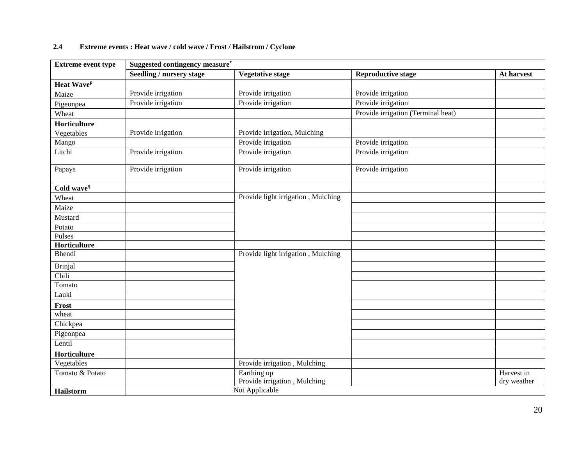# **2.4 Extreme events : Heat wave / cold wave / Frost / Hailstrom / Cyclone**

| <b>Extreme event type</b> | Suggested contingency measure <sup>r</sup> |                                    |                                    |             |  |
|---------------------------|--------------------------------------------|------------------------------------|------------------------------------|-------------|--|
|                           | <b>Seedling / nursery stage</b>            | <b>Vegetative stage</b>            | <b>Reproductive stage</b>          | At harvest  |  |
| Heat Wave <sup>p</sup>    |                                            |                                    |                                    |             |  |
| Maize                     | Provide irrigation                         | Provide irrigation                 | Provide irrigation                 |             |  |
| Pigeonpea                 | Provide irrigation                         | Provide irrigation                 | Provide irrigation                 |             |  |
| Wheat                     |                                            |                                    | Provide irrigation (Terminal heat) |             |  |
| Horticulture              |                                            |                                    |                                    |             |  |
| Vegetables                | Provide irrigation                         | Provide irrigation, Mulching       |                                    |             |  |
| Mango                     |                                            | Provide irrigation                 | Provide irrigation                 |             |  |
| Litchi                    | Provide irrigation                         | Provide irrigation                 | Provide irrigation                 |             |  |
| Papaya                    | Provide irrigation                         | Provide irrigation                 | Provide irrigation                 |             |  |
| Cold wave <sup>q</sup>    |                                            |                                    |                                    |             |  |
| Wheat                     |                                            | Provide light irrigation, Mulching |                                    |             |  |
| Maize                     |                                            |                                    |                                    |             |  |
| Mustard                   |                                            |                                    |                                    |             |  |
| Potato                    |                                            |                                    |                                    |             |  |
| Pulses                    |                                            |                                    |                                    |             |  |
| Horticulture              |                                            |                                    |                                    |             |  |
| Bhendi                    |                                            | Provide light irrigation, Mulching |                                    |             |  |
| <b>Brinjal</b>            |                                            |                                    |                                    |             |  |
| Chili                     |                                            |                                    |                                    |             |  |
| Tomato                    |                                            |                                    |                                    |             |  |
| Lauki                     |                                            |                                    |                                    |             |  |
| Frost                     |                                            |                                    |                                    |             |  |
| wheat                     |                                            |                                    |                                    |             |  |
| Chickpea                  |                                            |                                    |                                    |             |  |
| Pigeonpea                 |                                            |                                    |                                    |             |  |
| Lentil                    |                                            |                                    |                                    |             |  |
| Horticulture              |                                            |                                    |                                    |             |  |
| Vegetables                |                                            | Provide irrigation, Mulching       |                                    |             |  |
| Tomato & Potato           |                                            | Earthing up                        |                                    | Harvest in  |  |
|                           |                                            | Provide irrigation, Mulching       |                                    | dry weather |  |
| Hailstorm                 |                                            | Not Applicable                     |                                    |             |  |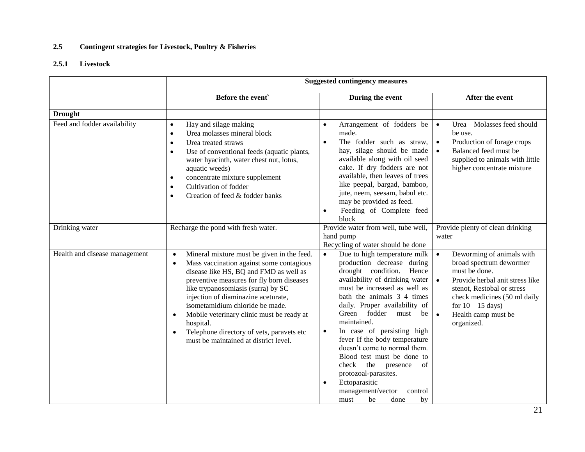### **2.5 Contingent strategies for Livestock, Poultry & Fisheries**

### **2.5.1 Livestock**

|                               | <b>Suggested contingency measures</b>                                                                                                                                                                                                                                                                                                                                                                                                                                   |                                                                                                                                                                                                                                                                                                                                                                                                                                                                                                                                                                                 |                                                                                                                                                                                                                                                                           |  |
|-------------------------------|-------------------------------------------------------------------------------------------------------------------------------------------------------------------------------------------------------------------------------------------------------------------------------------------------------------------------------------------------------------------------------------------------------------------------------------------------------------------------|---------------------------------------------------------------------------------------------------------------------------------------------------------------------------------------------------------------------------------------------------------------------------------------------------------------------------------------------------------------------------------------------------------------------------------------------------------------------------------------------------------------------------------------------------------------------------------|---------------------------------------------------------------------------------------------------------------------------------------------------------------------------------------------------------------------------------------------------------------------------|--|
|                               | Before the event <sup>s</sup>                                                                                                                                                                                                                                                                                                                                                                                                                                           | During the event                                                                                                                                                                                                                                                                                                                                                                                                                                                                                                                                                                | After the event                                                                                                                                                                                                                                                           |  |
| <b>Drought</b>                |                                                                                                                                                                                                                                                                                                                                                                                                                                                                         |                                                                                                                                                                                                                                                                                                                                                                                                                                                                                                                                                                                 |                                                                                                                                                                                                                                                                           |  |
| Feed and fodder availability  | Hay and silage making<br>$\bullet$<br>Urea molasses mineral block<br>$\bullet$<br>Urea treated straws<br>$\bullet$<br>Use of conventional feeds (aquatic plants,<br>$\bullet$<br>water hyacinth, water chest nut, lotus,<br>aquatic weeds)<br>concentrate mixture supplement<br>$\bullet$<br>Cultivation of fodder<br>$\bullet$<br>Creation of feed & fodder banks<br>$\bullet$                                                                                         | Arrangement of fodders be<br>$\bullet$<br>made.<br>The fodder such as straw,<br>$\bullet$<br>hay, silage should be made<br>available along with oil seed<br>cake. If dry fodders are not<br>available, then leaves of trees<br>like peepal, bargad, bamboo,<br>jute, neem, seesam, babul etc.<br>may be provided as feed.<br>Feeding of Complete feed<br>$\bullet$<br>block                                                                                                                                                                                                     | Urea - Molasses feed should<br>$\bullet$<br>be use.<br>Production of forage crops<br>$\bullet$<br>Balanced feed must be<br>$\bullet$<br>supplied to animals with little<br>higher concentrate mixture                                                                     |  |
| Drinking water                | Recharge the pond with fresh water.                                                                                                                                                                                                                                                                                                                                                                                                                                     | Provide water from well, tube well,<br>hand pump<br>Recycling of water should be done                                                                                                                                                                                                                                                                                                                                                                                                                                                                                           | Provide plenty of clean drinking<br>water                                                                                                                                                                                                                                 |  |
| Health and disease management | Mineral mixture must be given in the feed.<br>$\bullet$<br>Mass vaccination against some contagious<br>$\bullet$<br>disease like HS, BQ and FMD as well as<br>preventive measures for fly born diseases<br>like trypanosomiasis (surra) by SC<br>injection of diaminazine aceturate,<br>isometamidium chloride be made.<br>Mobile veterinary clinic must be ready at<br>hospital.<br>Telephone directory of vets, paravets etc<br>must be maintained at district level. | Due to high temperature milk<br>$\bullet$<br>production decrease during<br>drought condition. Hence<br>availability of drinking water<br>must be increased as well as<br>bath the animals 3–4 times<br>daily. Proper availability of<br>Green fodder<br>must<br>be<br>maintained.<br>In case of persisting high<br>$\bullet$<br>fever If the body temperature<br>doesn't come to normal them.<br>Blood test must be done to<br>check<br>the<br>presence<br>of<br>protozoal-parasites.<br>Ectoparasitic<br>$\bullet$<br>management/vector<br>control<br>be<br>must<br>done<br>by | $\bullet$<br>Deworming of animals with<br>broad spectrum dewormer<br>must be done.<br>Provide herbal anit stress like<br>$\bullet$<br>stenot, Restobal or stress<br>check medicines (50 ml daily<br>for $10 - 15$ days)<br>Health camp must be<br>$\bullet$<br>organized. |  |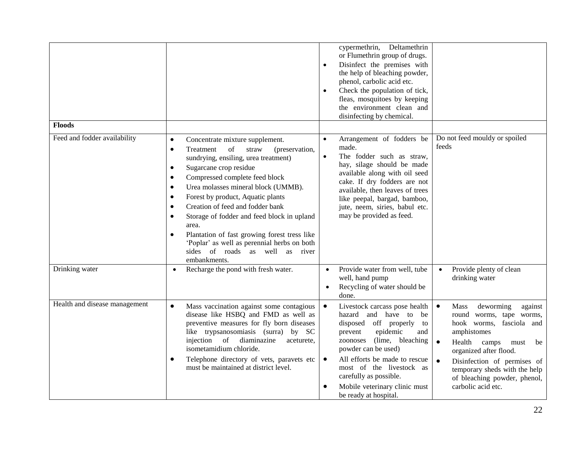|                               |                                                                                                                                                                                                                                                                                                                                                                                                                                                                                                                                                                                                                                 | $\bullet$<br>$\bullet$              | cypermethrin, Deltamethrin<br>or Flumethrin group of drugs.<br>Disinfect the premises with<br>the help of bleaching powder,<br>phenol, carbolic acid etc.<br>Check the population of tick,<br>fleas, mosquitoes by keeping<br>the environment clean and<br>disinfecting by chemical.                                            |                                                                                                                                                                                                                                                                                                                          |
|-------------------------------|---------------------------------------------------------------------------------------------------------------------------------------------------------------------------------------------------------------------------------------------------------------------------------------------------------------------------------------------------------------------------------------------------------------------------------------------------------------------------------------------------------------------------------------------------------------------------------------------------------------------------------|-------------------------------------|---------------------------------------------------------------------------------------------------------------------------------------------------------------------------------------------------------------------------------------------------------------------------------------------------------------------------------|--------------------------------------------------------------------------------------------------------------------------------------------------------------------------------------------------------------------------------------------------------------------------------------------------------------------------|
| <b>Floods</b>                 |                                                                                                                                                                                                                                                                                                                                                                                                                                                                                                                                                                                                                                 |                                     |                                                                                                                                                                                                                                                                                                                                 |                                                                                                                                                                                                                                                                                                                          |
| Feed and fodder availability  | $\bullet$<br>Concentrate mixture supplement.<br>of<br>Treatment<br>straw<br>(preservation,<br>$\bullet$<br>sundrying, ensiling, urea treatment)<br>Sugarcane crop residue<br>$\bullet$<br>Compressed complete feed block<br>$\bullet$<br>Urea molasses mineral block (UMMB).<br>$\bullet$<br>Forest by product, Aquatic plants<br>$\bullet$<br>Creation of feed and fodder bank<br>$\bullet$<br>Storage of fodder and feed block in upland<br>$\bullet$<br>area.<br>Plantation of fast growing forest tress like<br>$\bullet$<br>'Poplar' as well as perennial herbs on both<br>sides of roads as well as river<br>embankments. | $\bullet$<br>$\bullet$              | Arrangement of fodders be<br>made.<br>The fodder such as straw,<br>hay, silage should be made<br>available along with oil seed<br>cake. If dry fodders are not<br>available, then leaves of trees<br>like peepal, bargad, bamboo,<br>jute, neem, siries, babul etc.<br>may be provided as feed.                                 | Do not feed mouldy or spoiled<br>feeds                                                                                                                                                                                                                                                                                   |
| Drinking water                | Recharge the pond with fresh water.<br>$\bullet$                                                                                                                                                                                                                                                                                                                                                                                                                                                                                                                                                                                | $\bullet$                           | Provide water from well, tube<br>well, hand pump<br>Recycling of water should be<br>done.                                                                                                                                                                                                                                       | Provide plenty of clean<br>$\bullet$<br>drinking water                                                                                                                                                                                                                                                                   |
| Health and disease management | Mass vaccination against some contagious<br>$\bullet$<br>disease like HSBQ and FMD as well as<br>preventive measures for fly born diseases<br>like trypsanosomiasis (surra) by SC<br>injection of diaminazine<br>aceturete,<br>isometamidium chloride.<br>Telephone directory of vets, paravets etc<br>$\bullet$<br>must be maintained at district level.                                                                                                                                                                                                                                                                       | $\bullet$<br>$\bullet$<br>$\bullet$ | Livestock carcass pose health<br>hazard and have to<br>be<br>disposed off properly<br>to<br>prevent<br>epidemic<br>and<br>(lime, bleaching)<br>zoonoses<br>powder can be used)<br>All efforts be made to rescue<br>most of the livestock as<br>carefully as possible.<br>Mobile veterinary clinic must<br>be ready at hospital. | $\bullet$<br>deworming<br>Mass<br>against<br>round worms, tape worms,<br>hook worms, fasciola and<br>amphistomes<br>$\bullet$<br>Health camps<br>must<br>be<br>organized after flood.<br>$\bullet$<br>Disinfection of permises of<br>temporary sheds with the help<br>of bleaching powder, phenol,<br>carbolic acid etc. |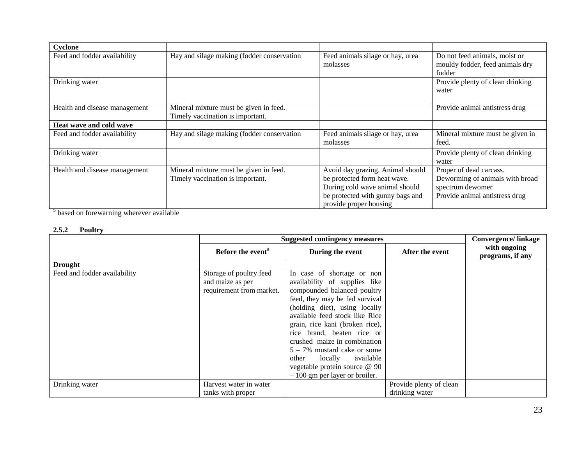| Cyclone                       |                                                                            |                                                                                                                                                                  |                                                                                                                  |
|-------------------------------|----------------------------------------------------------------------------|------------------------------------------------------------------------------------------------------------------------------------------------------------------|------------------------------------------------------------------------------------------------------------------|
| Feed and fodder availability  | Hay and silage making (fodder conservation                                 | Feed animals silage or hay, urea<br>molasses                                                                                                                     | Do not feed animals, moist or<br>mouldy fodder, feed animals dry<br>fodder                                       |
| Drinking water                |                                                                            |                                                                                                                                                                  | Provide plenty of clean drinking<br>water                                                                        |
| Health and disease management | Mineral mixture must be given in feed.<br>Timely vaccination is important. |                                                                                                                                                                  | Provide animal antistress drug                                                                                   |
| Heat wave and cold wave       |                                                                            |                                                                                                                                                                  |                                                                                                                  |
| Feed and fodder availability  | Hay and silage making (fodder conservation                                 | Feed animals silage or hay, urea<br>molasses                                                                                                                     | Mineral mixture must be given in<br>feed.                                                                        |
| Drinking water                |                                                                            |                                                                                                                                                                  | Provide plenty of clean drinking<br>water                                                                        |
| Health and disease management | Mineral mixture must be given in feed.<br>Timely vaccination is important. | Avoid day grazing. Animal should<br>be protected form heat wave.<br>During cold wave animal should<br>be protected with gunny bags and<br>provide proper housing | Proper of dead carcass.<br>Deworming of animals with broad<br>spectrum dewomer<br>Provide animal antistress drug |

<sup>S</sup> based on forewarning wherever available

### **2.5.2 Poultry**

|                              | <b>Suggested contingency measures</b>                                   |                                                                                                                                                                                                                                                                                                                                                                                                                                         |                                           |                                  |
|------------------------------|-------------------------------------------------------------------------|-----------------------------------------------------------------------------------------------------------------------------------------------------------------------------------------------------------------------------------------------------------------------------------------------------------------------------------------------------------------------------------------------------------------------------------------|-------------------------------------------|----------------------------------|
|                              | Before the event <sup>a</sup>                                           | During the event                                                                                                                                                                                                                                                                                                                                                                                                                        | After the event                           | with ongoing<br>programs, if any |
| <b>Drought</b>               |                                                                         |                                                                                                                                                                                                                                                                                                                                                                                                                                         |                                           |                                  |
| Feed and fodder availability | Storage of poultry feed<br>and maize as per<br>requirement from market. | In case of shortage or non<br>availability of supplies like<br>compounded balanced poultry<br>feed, they may be fed survival<br>(holding diet), using locally<br>available feed stock like Rice<br>grain, rice kani (broken rice),<br>rice brand, beaten rice or<br>crushed maize in combination<br>$5 - 7\%$ mustard cake or some<br>locally<br>available<br>other<br>vegetable protein source @ 90<br>$-100$ gm per layer or broiler. |                                           |                                  |
| Drinking water               | Harvest water in water<br>tanks with proper                             |                                                                                                                                                                                                                                                                                                                                                                                                                                         | Provide plenty of clean<br>drinking water |                                  |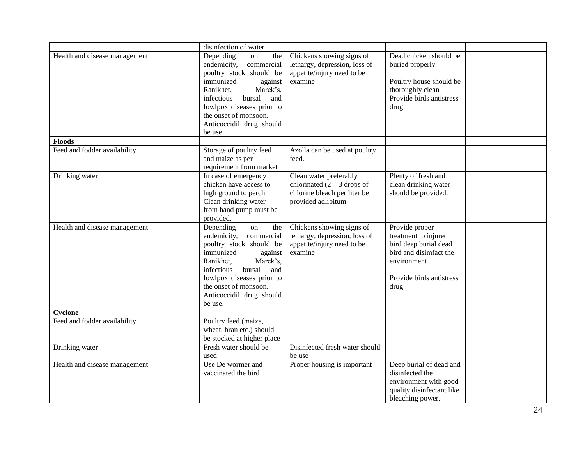|                               | disinfection of water                                                                                                                                                                                                                                       |                                                                                                               |                                                                                                                                              |  |
|-------------------------------|-------------------------------------------------------------------------------------------------------------------------------------------------------------------------------------------------------------------------------------------------------------|---------------------------------------------------------------------------------------------------------------|----------------------------------------------------------------------------------------------------------------------------------------------|--|
| Health and disease management | Depending<br>the<br>on<br>endemicity,<br>commercial<br>poultry stock should be<br>immunized<br>against<br>Ranikhet,<br>Marek's,<br>bursal<br>infectious<br>and<br>fowlpox diseases prior to<br>the onset of monsoon.<br>Anticoccidil drug should<br>be use. | Chickens showing signs of<br>lethargy, depression, loss of<br>appetite/injury need to be<br>examine           | Dead chicken should be<br>buried properly<br>Poultry house should be<br>thoroughly clean<br>Provide birds antistress<br>drug                 |  |
| <b>Floods</b>                 |                                                                                                                                                                                                                                                             |                                                                                                               |                                                                                                                                              |  |
| Feed and fodder availability  | Storage of poultry feed<br>and maize as per<br>requirement from market                                                                                                                                                                                      | Azolla can be used at poultry<br>feed.                                                                        |                                                                                                                                              |  |
| Drinking water                | In case of emergency<br>chicken have access to<br>high ground to perch<br>Clean drinking water<br>from hand pump must be<br>provided.                                                                                                                       | Clean water preferably<br>chlorinated $(2 – 3$ drops of<br>chlorine bleach per liter be<br>provided adlibitum | Plenty of fresh and<br>clean drinking water<br>should be provided.                                                                           |  |
| Health and disease management | Depending<br>on<br>the<br>commercial<br>endemicity,<br>poultry stock should be<br>immunized<br>against<br>Ranikhet,<br>Marek's,<br>bursal<br>infectious<br>and<br>fowlpox diseases prior to<br>the onset of monsoon.<br>Anticoccidil drug should<br>be use. | Chickens showing signs of<br>lethargy, depression, loss of<br>appetite/injury need to be<br>examine           | Provide proper<br>treatment to injured<br>bird deep burial dead<br>bird and disimfact the<br>environment<br>Provide birds antistress<br>drug |  |
| Cyclone                       |                                                                                                                                                                                                                                                             |                                                                                                               |                                                                                                                                              |  |
| Feed and fodder availability  | Poultry feed (maize,<br>wheat, bran etc.) should<br>be stocked at higher place                                                                                                                                                                              |                                                                                                               |                                                                                                                                              |  |
| Drinking water                | Fresh water should be<br>used                                                                                                                                                                                                                               | Disinfected fresh water should<br>be use                                                                      |                                                                                                                                              |  |
| Health and disease management | Use De wormer and<br>vaccinated the bird                                                                                                                                                                                                                    | Proper housing is important                                                                                   | Deep burial of dead and<br>disinfected the<br>environment with good<br>quality disinfectant like<br>bleaching power.                         |  |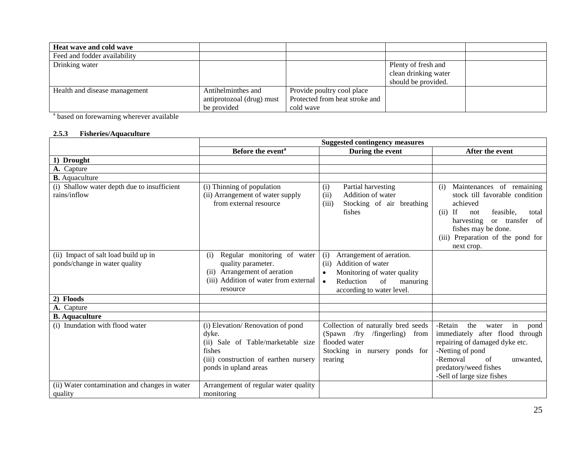| <b>Heat wave and cold wave</b> |                           |                                |                      |  |
|--------------------------------|---------------------------|--------------------------------|----------------------|--|
| Feed and fodder availability   |                           |                                |                      |  |
| Drinking water                 |                           |                                | Plenty of fresh and  |  |
|                                |                           |                                | clean drinking water |  |
|                                |                           |                                | should be provided.  |  |
| Health and disease management  | Antihelminthes and        | Provide poultry cool place     |                      |  |
|                                | antiprotozoal (drug) must | Protected from heat stroke and |                      |  |
|                                | be provided               | cold wave                      |                      |  |

<sup>a</sup> based on forewarning wherever available

### **2.5.3 Fisheries/Aquaculture**

|                                                                       | <b>Suggested contingency measures</b>                                                                                                                       |                                                                                                                                                                                   |                                                                                                                                                                                                                                    |  |
|-----------------------------------------------------------------------|-------------------------------------------------------------------------------------------------------------------------------------------------------------|-----------------------------------------------------------------------------------------------------------------------------------------------------------------------------------|------------------------------------------------------------------------------------------------------------------------------------------------------------------------------------------------------------------------------------|--|
|                                                                       | Before the event <sup>a</sup>                                                                                                                               | During the event                                                                                                                                                                  | After the event                                                                                                                                                                                                                    |  |
| 1) Drought                                                            |                                                                                                                                                             |                                                                                                                                                                                   |                                                                                                                                                                                                                                    |  |
| A. Capture                                                            |                                                                                                                                                             |                                                                                                                                                                                   |                                                                                                                                                                                                                                    |  |
| <b>B.</b> Aquaculture                                                 |                                                                                                                                                             |                                                                                                                                                                                   |                                                                                                                                                                                                                                    |  |
| (i) Shallow water depth due to insufficient<br>rains/inflow           | (i) Thinning of population<br>(ii) Arrangement of water supply<br>from external resource                                                                    | Partial harvesting<br>(i)<br>Addition of water<br>(ii)<br>(iii)<br>Stocking of air breathing<br>fishes                                                                            | Maintenances of remaining<br>(i)<br>stock till favorable condition<br>achieved<br>$(ii)$ If<br>feasible.<br>not<br>total<br>or transfer of<br>harvesting<br>fishes may be done.<br>(iii) Preparation of the pond for<br>next crop. |  |
| (ii) Impact of salt load build up in<br>ponds/change in water quality | Regular monitoring of water<br>(i)<br>quality parameter.<br>(ii) Arrangement of aeration<br>(iii) Addition of water from external<br>resource               | Arrangement of aeration.<br>(i)<br>Addition of water<br>(ii)<br>Monitoring of water quality<br>$\bullet$<br>Reduction<br>of<br>manuring<br>$\bullet$<br>according to water level. |                                                                                                                                                                                                                                    |  |
| 2) Floods                                                             |                                                                                                                                                             |                                                                                                                                                                                   |                                                                                                                                                                                                                                    |  |
| A. Capture                                                            |                                                                                                                                                             |                                                                                                                                                                                   |                                                                                                                                                                                                                                    |  |
| <b>B.</b> Aquaculture                                                 |                                                                                                                                                             |                                                                                                                                                                                   |                                                                                                                                                                                                                                    |  |
| (i) Inundation with flood water                                       | (i) Elevation/Renovation of pond<br>dyke.<br>(ii) Sale of Table/marketable size<br>fishes<br>(iii) construction of earthen nursery<br>ponds in upland areas | Collection of naturally bred seeds<br>(Spawn /fry<br>/fingerling)<br>from<br>flooded water<br>Stocking in nursery ponds for<br>rearing                                            | -Retain<br>the<br>in<br>water<br>pond<br>immediately after flood through<br>repairing of damaged dyke etc.<br>-Netting of pond<br>-Removal<br>of<br>unwanted,<br>predatory/weed fishes<br>-Sell of large size fishes               |  |
| (ii) Water contamination and changes in water<br>quality              | Arrangement of regular water quality<br>monitoring                                                                                                          |                                                                                                                                                                                   |                                                                                                                                                                                                                                    |  |